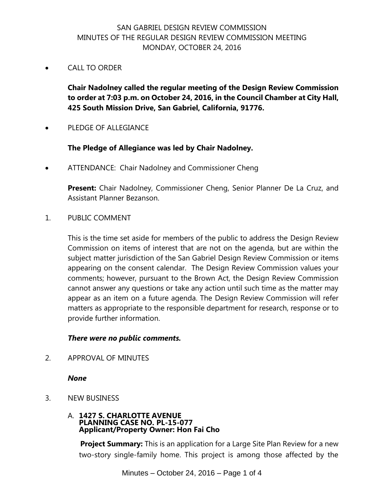# SAN GABRIEL DESIGN REVIEW COMMISSION MINUTES OF THE REGULAR DESIGN REVIEW COMMISSION MEETING MONDAY, OCTOBER 24, 2016

CALL TO ORDER

**Chair Nadolney called the regular meeting of the Design Review Commission to order at 7:03 p.m. on October 24, 2016, in the Council Chamber at City Hall, 425 South Mission Drive, San Gabriel, California, 91776.**

PLEDGE OF ALLEGIANCE

## **The Pledge of Allegiance was led by Chair Nadolney.**

ATTENDANCE: Chair Nadolney and Commissioner Cheng

**Present:** Chair Nadolney, Commissioner Cheng, Senior Planner De La Cruz, and Assistant Planner Bezanson.

1. PUBLIC COMMENT

This is the time set aside for members of the public to address the Design Review Commission on items of interest that are not on the agenda, but are within the subject matter jurisdiction of the San Gabriel Design Review Commission or items appearing on the consent calendar. The Design Review Commission values your comments; however, pursuant to the Brown Act, the Design Review Commission cannot answer any questions or take any action until such time as the matter may appear as an item on a future agenda. The Design Review Commission will refer matters as appropriate to the responsible department for research, response or to provide further information.

### *There were no public comments.*

2. APPROVAL OF MINUTES

### *None*

3. NEW BUSINESS

#### A. **1427 S. CHARLOTTE AVENUE PLANNING CASE NO. PL-15-077 Applicant/Property Owner: Hon Fai Cho**

**Project Summary:** This is an application for a Large Site Plan Review for a new two-story single-family home. This project is among those affected by the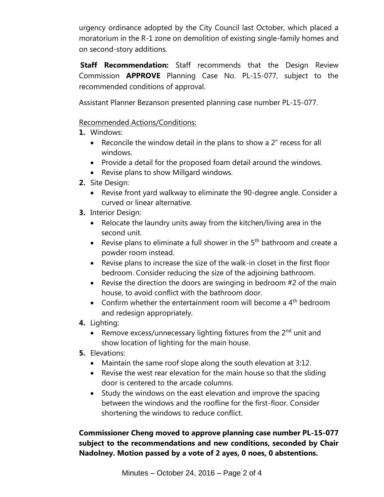urgency ordinance adopted by the City Council last October, which placed a moratorium in the R-1 zone on demolition of existing single-family homes and on second-story additions.

 **Staff Recommendation:** Staff recommends that the Design Review Commission **APPROVE** Planning Case No. PL-15-077, subject to the recommended conditions of approval.

Assistant Planner Bezanson presented planning case number PL-15-077.

Recommended Actions/Conditions:

- **1.** Windows:
	- Reconcile the window detail in the plans to show a 2" recess for all windows.
	- Provide a detail for the proposed foam detail around the windows.
	- Revise plans to show Millgard windows.
- **2.** Site Design:
	- Revise front yard walkway to eliminate the 90-degree angle. Consider a curved or linear alternative.
- **3.** Interior Design:
	- Relocate the laundry units away from the kitchen/living area in the second unit.
	- **•** Revise plans to eliminate a full shower in the  $5<sup>th</sup>$  bathroom and create a powder room instead.
	- Revise plans to increase the size of the walk-in closet in the first floor bedroom. Consider reducing the size of the adjoining bathroom.
	- Revise the direction the doors are swinging in bedroom  $#2$  of the main house, to avoid conflict with the bathroom door.
	- Confirm whether the entertainment room will become a  $4<sup>th</sup>$  bedroom and redesign appropriately.
- **4.** Lighting:
	- **•** Remove excess/unnecessary lighting fixtures from the  $2^{nd}$  unit and show location of lighting for the main house.
- **5.** Elevations:
	- Maintain the same roof slope along the south elevation at 3:12.
	- Revise the west rear elevation for the main house so that the sliding door is centered to the arcade columns.
	- Study the windows on the east elevation and improve the spacing between the windows and the roofline for the first-floor. Consider shortening the windows to reduce conflict.

**Commissioner Cheng moved to approve planning case number PL-15-077 subject to the recommendations and new conditions, seconded by Chair Nadolney. Motion passed by a vote of 2 ayes, 0 noes, 0 abstentions.**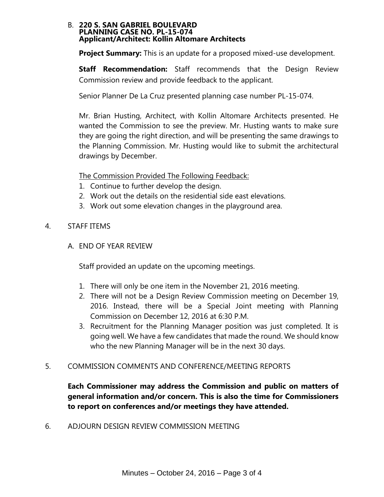#### B. **220 S. SAN GABRIEL BOULEVARD PLANNING CASE NO. PL-15-074 Applicant/Architect: Kollin Altomare Architects**

 **Project Summary:** This is an update for a proposed mixed-use development.

 **Staff Recommendation:** Staff recommends that the Design Review Commission review and provide feedback to the applicant.

Senior Planner De La Cruz presented planning case number PL-15-074.

Mr. Brian Husting, Architect, with Kollin Altomare Architects presented. He wanted the Commission to see the preview. Mr. Husting wants to make sure they are going the right direction, and will be presenting the same drawings to the Planning Commission. Mr. Husting would like to submit the architectural drawings by December.

The Commission Provided The Following Feedback:

- 1. Continue to further develop the design.
- 2. Work out the details on the residential side east elevations.
- 3. Work out some elevation changes in the playground area.
- 4. STAFF ITEMS
	- A. END OF YEAR REVIEW

Staff provided an update on the upcoming meetings.

- 1. There will only be one item in the November 21, 2016 meeting.
- 2. There will not be a Design Review Commission meeting on December 19, 2016. Instead, there will be a Special Joint meeting with Planning Commission on December 12, 2016 at 6:30 P.M.
- 3. Recruitment for the Planning Manager position was just completed. It is going well. We have a few candidates that made the round. We should know who the new Planning Manager will be in the next 30 days.
- 5. COMMISSION COMMENTS AND CONFERENCE/MEETING REPORTS

**Each Commissioner may address the Commission and public on matters of general information and/or concern. This is also the time for Commissioners to report on conferences and/or meetings they have attended.**

6. ADJOURN DESIGN REVIEW COMMISSION MEETING